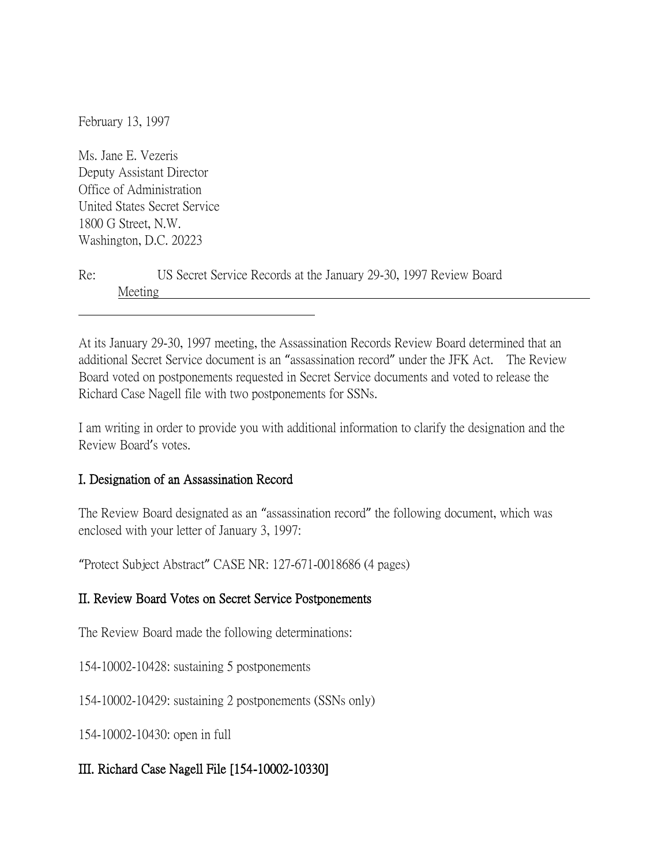February 13, 1997

Ms. Jane E. Vezeris Deputy Assistant Director Office of Administration United States Secret Service 1800 G Street, N.W. Washington, D.C. 20223

| Re: |         | US Secret Service Records at the January 29-30, 1997 Review Board |  |  |  |  |
|-----|---------|-------------------------------------------------------------------|--|--|--|--|
|     | Meeting |                                                                   |  |  |  |  |

At its January 29-30, 1997 meeting, the Assassination Records Review Board determined that an additional Secret Service document is an "assassination record" under the JFK Act. The Review Board voted on postponements requested in Secret Service documents and voted to release the Richard Case Nagell file with two postponements for SSNs.

I am writing in order to provide you with additional information to clarify the designation and the Review Board's votes.

## I. Designation of an Assassination Record

The Review Board designated as an "assassination record" the following document, which was enclosed with your letter of January 3, 1997:

"Protect Subject Abstract" CASE NR: 127-671-0018686 (4 pages)

## II. Review Board Votes on Secret Service Postponements

The Review Board made the following determinations:

154-10002-10428: sustaining 5 postponements

154-10002-10429: sustaining 2 postponements (SSNs only)

154-10002-10430: open in full

## III. Richard Case Nagell File [154-10002-10330]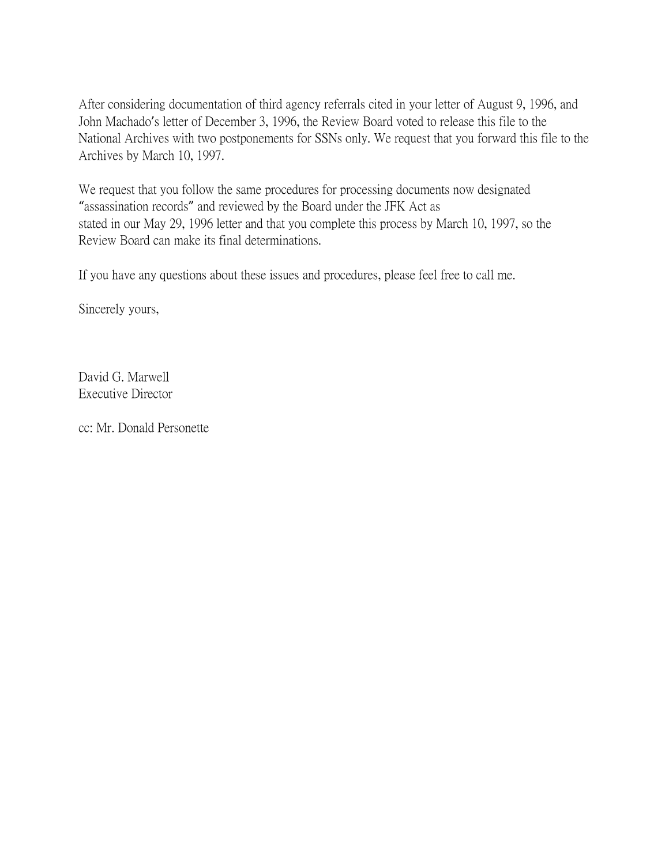After considering documentation of third agency referrals cited in your letter of August 9, 1996, and John Machado's letter of December 3, 1996, the Review Board voted to release this file to the National Archives with two postponements for SSNs only. We request that you forward this file to the Archives by March 10, 1997.

We request that you follow the same procedures for processing documents now designated "assassination records" and reviewed by the Board under the JFK Act as stated in our May 29, 1996 letter and that you complete this process by March 10, 1997, so the Review Board can make its final determinations.

If you have any questions about these issues and procedures, please feel free to call me.

Sincerely yours,

David G. Marwell Executive Director

cc: Mr. Donald Personette